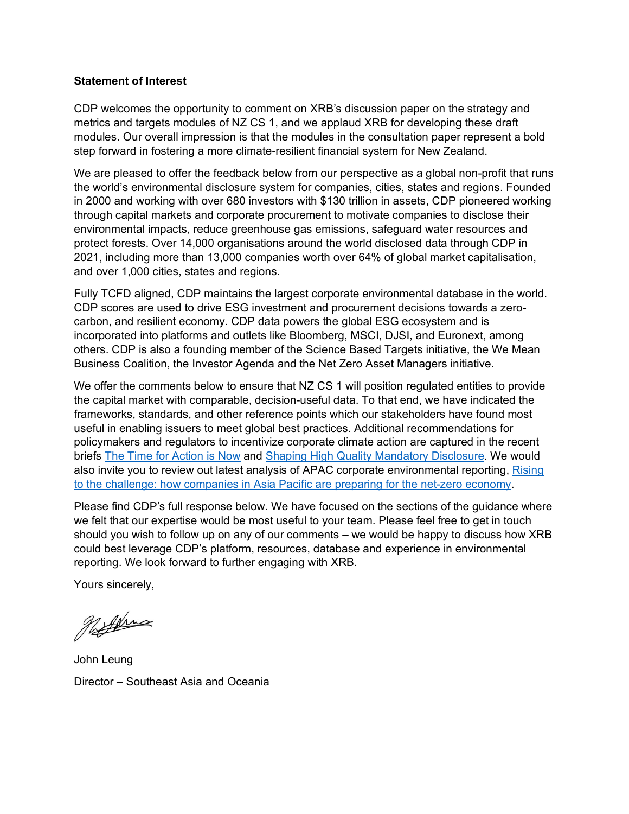#### **Statement of Interest**

CDP welcomes the opportunity to comment on XRB's discussion paper on the strategy and metrics and targets modules of NZ CS 1, and we applaud XRB for developing these draft modules. Our overall impression is that the modules in the consultation paper represent a bold step forward in fostering a more climate-resilient financial system for New Zealand.

We are pleased to offer the feedback below from our perspective as a global non-profit that runs the world's environmental disclosure system for companies, cities, states and regions. Founded in 2000 and working with over 680 investors with \$130 trillion in assets, CDP pioneered working through capital markets and corporate procurement to motivate companies to disclose their environmental impacts, reduce greenhouse gas emissions, safeguard water resources and protect forests. Over 14,000 organisations around the world disclosed data through CDP in 2021, including more than 13,000 companies worth over 64% of global market capitalisation, and over 1,000 cities, states and regions.

Fully TCFD aligned, CDP maintains the largest corporate environmental database in the world. CDP scores are used to drive ESG investment and procurement decisions towards a zerocarbon, and resilient economy. CDP data powers the global ESG ecosystem and is incorporated into platforms and outlets like Bloomberg, MSCI, DJSI, and Euronext, among others. CDP is also a founding member of the Science Based Targets initiative, the We Mean Business Coalition, the Investor Agenda and the Net Zero Asset Managers initiative.

We offer the comments below to ensure that NZ CS 1 will position regulated entities to provide the capital market with comparable, decision-useful data. To that end, we have indicated the frameworks, standards, and other reference points which our stakeholders have found most useful in enabling issuers to meet global best practices. Additional recommendations for policymakers and regulators to incentivize corporate climate action are captured in the recent briefs [The Time for Action is Now](https://www.cdp.net/en/reports/downloads/5453) and [Shaping High Quality Mandatory Disclosure.](https://www.cdp.net/en/reports/downloads/5863) We would also invite you to review out latest analysis of APAC corporate environmental reporting, [Rising](https://cdn.cdp.net/cdp-production/cms/reports/documents/000/006/179/original/How_companies_in_Asia_Pacific_are_preparing_for_the_net-zero_economy_EN.pdf?1648712180)  [to the challenge: how companies in Asia Pacific are preparing for the net-zero economy.](https://cdn.cdp.net/cdp-production/cms/reports/documents/000/006/179/original/How_companies_in_Asia_Pacific_are_preparing_for_the_net-zero_economy_EN.pdf?1648712180)

Please find CDP's full response below. We have focused on the sections of the guidance where we felt that our expertise would be most useful to your team. Please feel free to get in touch should you wish to follow up on any of our comments – we would be happy to discuss how XRB could best leverage CDP's platform, resources, database and experience in environmental reporting. We look forward to further engaging with XRB.

Yours sincerely,

Nathing

John Leung Director – Southeast Asia and Oceania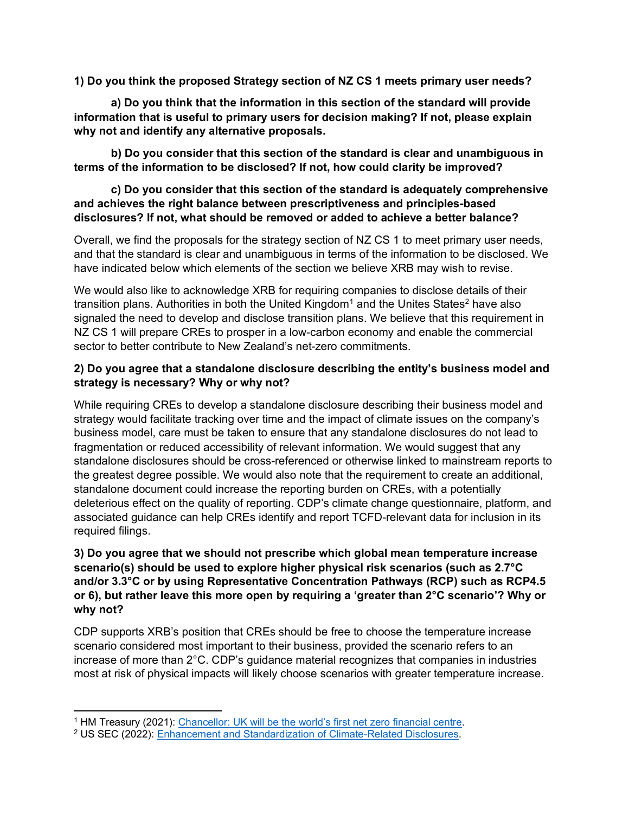**1) Do you think the proposed Strategy section of NZ CS 1 meets primary user needs?**

**a) Do you think that the information in this section of the standard will provide information that is useful to primary users for decision making? If not, please explain why not and identify any alternative proposals.** 

**b) Do you consider that this section of the standard is clear and unambiguous in terms of the information to be disclosed? If not, how could clarity be improved?** 

#### **c) Do you consider that this section of the standard is adequately comprehensive and achieves the right balance between prescriptiveness and principles-based disclosures? If not, what should be removed or added to achieve a better balance?**

Overall, we find the proposals for the strategy section of NZ CS 1 to meet primary user needs, and that the standard is clear and unambiguous in terms of the information to be disclosed. We have indicated below which elements of the section we believe XRB may wish to revise.

We would also like to acknowledge XRB for requiring companies to disclose details of their transition plans. Authorities in both the United Kingdom<sup>1</sup> and the Unites States<sup>[2](#page-1-1)</sup> have also signaled the need to develop and disclose transition plans. We believe that this requirement in NZ CS 1 will prepare CREs to prosper in a low-carbon economy and enable the commercial sector to better contribute to New Zealand's net-zero commitments.

### **2) Do you agree that a standalone disclosure describing the entity's business model and strategy is necessary? Why or why not?**

While requiring CREs to develop a standalone disclosure describing their business model and strategy would facilitate tracking over time and the impact of climate issues on the company's business model, care must be taken to ensure that any standalone disclosures do not lead to fragmentation or reduced accessibility of relevant information. We would suggest that any standalone disclosures should be cross-referenced or otherwise linked to mainstream reports to the greatest degree possible. We would also note that the requirement to create an additional, standalone document could increase the reporting burden on CREs, with a potentially deleterious effect on the quality of reporting. CDP's climate change questionnaire, platform, and associated guidance can help CREs identify and report TCFD-relevant data for inclusion in its required filings.

### **3) Do you agree that we should not prescribe which global mean temperature increase scenario(s) should be used to explore higher physical risk scenarios (such as 2.7°C and/or 3.3°C or by using Representative Concentration Pathways (RCP) such as RCP4.5 or 6), but rather leave this more open by requiring a 'greater than 2°C scenario'? Why or why not?**

CDP supports XRB's position that CREs should be free to choose the temperature increase scenario considered most important to their business, provided the scenario refers to an increase of more than 2°C. CDP's guidance material recognizes that companies in industries most at risk of physical impacts will likely choose scenarios with greater temperature increase.

<span id="page-1-0"></span><sup>1</sup> HM Treasury (2021): [Chancellor: UK will be the world's first net zero financial centre.](https://www.gov.uk/government/news/chancellor-uk-will-be-the-worlds-first-net-zero-financial-centre)

<span id="page-1-1"></span><sup>2</sup> US SEC (2022): [Enhancement and Standardization of Climate-Related Disclosures.](https://www.sec.gov/files/33-11042-fact-sheet.pdf)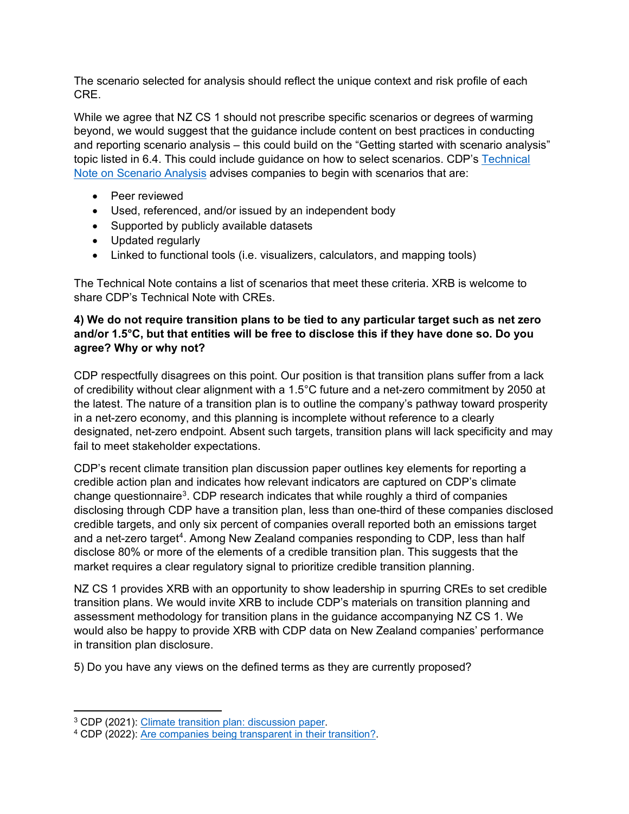The scenario selected for analysis should reflect the unique context and risk profile of each CRE.

While we agree that NZ CS 1 should not prescribe specific scenarios or degrees of warming beyond, we would suggest that the guidance include content on best practices in conducting and reporting scenario analysis – this could build on the "Getting started with scenario analysis" topic listed in 6.4. This could include guidance on how to select scenarios. CDP's [Technical](https://cdn.cdp.net/cdp-production/cms/guidance_docs/pdfs/000/001/430/original/CDP-technical-note-scenario-analysis.pdf?1643629797)  [Note on Scenario Analysis](https://cdn.cdp.net/cdp-production/cms/guidance_docs/pdfs/000/001/430/original/CDP-technical-note-scenario-analysis.pdf?1643629797) advises companies to begin with scenarios that are:

- Peer reviewed
- Used, referenced, and/or issued by an independent body
- Supported by publicly available datasets
- Updated regularly
- Linked to functional tools (i.e. visualizers, calculators, and mapping tools)

The Technical Note contains a list of scenarios that meet these criteria. XRB is welcome to share CDP's Technical Note with CREs.

#### **4) We do not require transition plans to be tied to any particular target such as net zero and/or 1.5°C, but that entities will be free to disclose this if they have done so. Do you agree? Why or why not?**

CDP respectfully disagrees on this point. Our position is that transition plans suffer from a lack of credibility without clear alignment with a 1.5°C future and a net-zero commitment by 2050 at the latest. The nature of a transition plan is to outline the company's pathway toward prosperity in a net-zero economy, and this planning is incomplete without reference to a clearly designated, net-zero endpoint. Absent such targets, transition plans will lack specificity and may fail to meet stakeholder expectations.

CDP's recent climate transition plan discussion paper outlines key elements for reporting a credible action plan and indicates how relevant indicators are captured on CDP's climate change questionnaire<sup>3</sup>. CDP research indicates that while roughly a third of companies disclosing through CDP have a transition plan, less than one-third of these companies disclosed credible targets, and only six percent of companies overall reported both an emissions target and a net-zero target<sup>[4](#page-2-1)</sup>. Among New Zealand companies responding to CDP, less than half disclose 80% or more of the elements of a credible transition plan. This suggests that the market requires a clear regulatory signal to prioritize credible transition planning.

NZ CS 1 provides XRB with an opportunity to show leadership in spurring CREs to set credible transition plans. We would invite XRB to include CDP's materials on transition planning and assessment methodology for transition plans in the guidance accompanying NZ CS 1. We would also be happy to provide XRB with CDP data on New Zealand companies' performance in transition plan disclosure.

5) Do you have any views on the defined terms as they are currently proposed?

<span id="page-2-1"></span><span id="page-2-0"></span>

 $3$  CDP (2021)[: Climate transition plan: discussion paper.](https://cdn.cdp.net/cdp-production/cms/guidance_docs/pdfs/000/002/840/original/Climate-Transition-Plans.pdf?1636038499)<br> $4$  CDP (2022)[: Are companies being transparent in their transition?.](https://cdn.cdp.net/cdp-production/cms/reports/documents/000/006/127/original/2021_Climate_transition_plan_disclosure_FINAL.pdf?1647432846)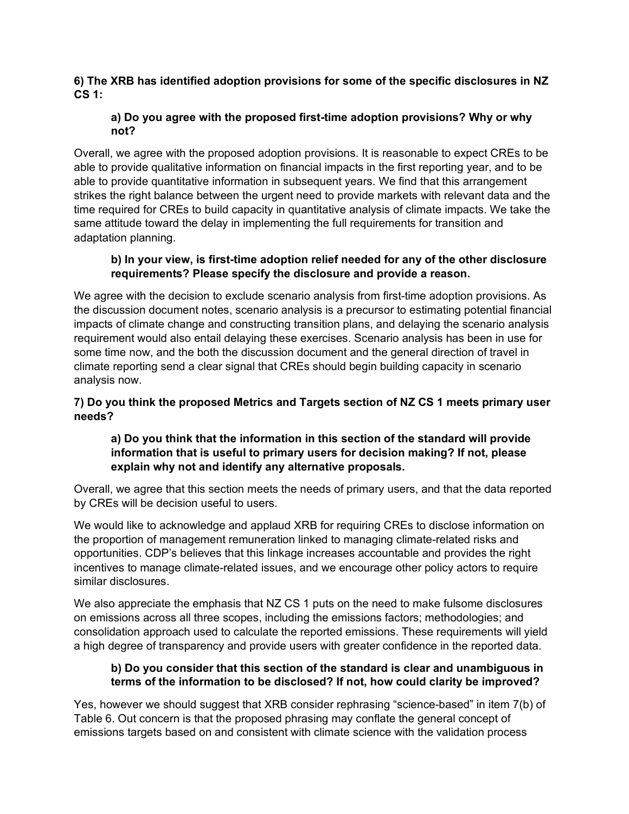#### **6) The XRB has identified adoption provisions for some of the specific disclosures in NZ CS 1:**

### **a) Do you agree with the proposed first-time adoption provisions? Why or why not?**

Overall, we agree with the proposed adoption provisions. It is reasonable to expect CREs to be able to provide qualitative information on financial impacts in the first reporting year, and to be able to provide quantitative information in subsequent years. We find that this arrangement strikes the right balance between the urgent need to provide markets with relevant data and the time required for CREs to build capacity in quantitative analysis of climate impacts. We take the same attitude toward the delay in implementing the full requirements for transition and adaptation planning.

## **b) In your view, is first-time adoption relief needed for any of the other disclosure requirements? Please specify the disclosure and provide a reason.**

We agree with the decision to exclude scenario analysis from first-time adoption provisions. As the discussion document notes, scenario analysis is a precursor to estimating potential financial impacts of climate change and constructing transition plans, and delaying the scenario analysis requirement would also entail delaying these exercises. Scenario analysis has been in use for some time now, and the both the discussion document and the general direction of travel in climate reporting send a clear signal that CREs should begin building capacity in scenario analysis now.

# **7) Do you think the proposed Metrics and Targets section of NZ CS 1 meets primary user needs?**

# **a) Do you think that the information in this section of the standard will provide information that is useful to primary users for decision making? If not, please explain why not and identify any alternative proposals.**

Overall, we agree that this section meets the needs of primary users, and that the data reported by CREs will be decision useful to users.

We would like to acknowledge and applaud XRB for requiring CREs to disclose information on the proportion of management remuneration linked to managing climate-related risks and opportunities. CDP's believes that this linkage increases accountable and provides the right incentives to manage climate-related issues, and we encourage other policy actors to require similar disclosures.

We also appreciate the emphasis that NZ CS 1 puts on the need to make fulsome disclosures on emissions across all three scopes, including the emissions factors; methodologies; and consolidation approach used to calculate the reported emissions. These requirements will yield a high degree of transparency and provide users with greater confidence in the reported data.

### **b) Do you consider that this section of the standard is clear and unambiguous in terms of the information to be disclosed? If not, how could clarity be improved?**

Yes, however we should suggest that XRB consider rephrasing "science-based" in item 7(b) of Table 6. Out concern is that the proposed phrasing may conflate the general concept of emissions targets based on and consistent with climate science with the validation process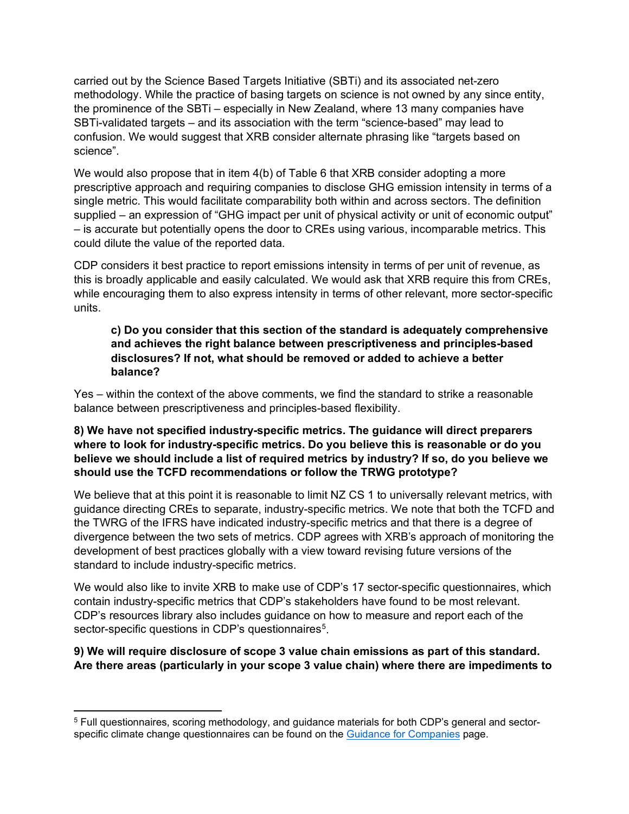carried out by the Science Based Targets Initiative (SBTi) and its associated net-zero methodology. While the practice of basing targets on science is not owned by any since entity, the prominence of the SBTi – especially in New Zealand, where 13 many companies have SBTi-validated targets – and its association with the term "science-based" may lead to confusion. We would suggest that XRB consider alternate phrasing like "targets based on science".

We would also propose that in item  $4(b)$  of Table 6 that XRB consider adopting a more prescriptive approach and requiring companies to disclose GHG emission intensity in terms of a single metric. This would facilitate comparability both within and across sectors. The definition supplied – an expression of "GHG impact per unit of physical activity or unit of economic output" – is accurate but potentially opens the door to CREs using various, incomparable metrics. This could dilute the value of the reported data.

CDP considers it best practice to report emissions intensity in terms of per unit of revenue, as this is broadly applicable and easily calculated. We would ask that XRB require this from CREs, while encouraging them to also express intensity in terms of other relevant, more sector-specific units.

### **c) Do you consider that this section of the standard is adequately comprehensive and achieves the right balance between prescriptiveness and principles-based disclosures? If not, what should be removed or added to achieve a better balance?**

Yes – within the context of the above comments, we find the standard to strike a reasonable balance between prescriptiveness and principles-based flexibility.

#### **8) We have not specified industry-specific metrics. The guidance will direct preparers where to look for industry-specific metrics. Do you believe this is reasonable or do you believe we should include a list of required metrics by industry? If so, do you believe we should use the TCFD recommendations or follow the TRWG prototype?**

We believe that at this point it is reasonable to limit NZ CS 1 to universally relevant metrics, with guidance directing CREs to separate, industry-specific metrics. We note that both the TCFD and the TWRG of the IFRS have indicated industry-specific metrics and that there is a degree of divergence between the two sets of metrics. CDP agrees with XRB's approach of monitoring the development of best practices globally with a view toward revising future versions of the standard to include industry-specific metrics.

We would also like to invite XRB to make use of CDP's 17 sector-specific questionnaires, which contain industry-specific metrics that CDP's stakeholders have found to be most relevant. CDP's resources library also includes guidance on how to measure and report each of the sector-specific questions in CDP's questionnaires<sup>[5](#page-4-0)</sup>.

# **9) We will require disclosure of scope 3 value chain emissions as part of this standard. Are there areas (particularly in your scope 3 value chain) where there are impediments to**

<span id="page-4-0"></span><sup>5</sup> Full questionnaires, scoring methodology, and guidance materials for both CDP's general and sector-specific climate change questionnaires can be found on the [Guidance for Companies](https://www.cdp.net/en/guidance/guidance-for-companies/) page.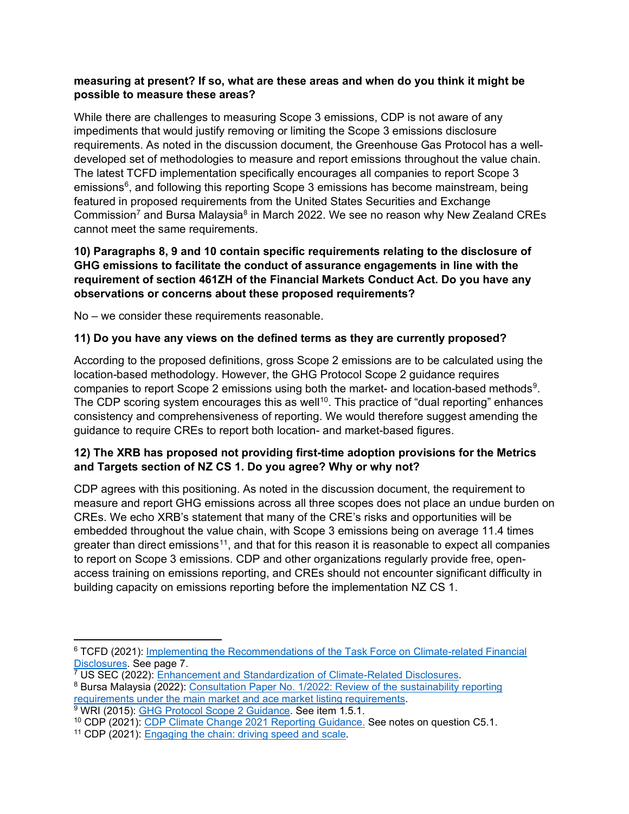#### **measuring at present? If so, what are these areas and when do you think it might be possible to measure these areas?**

While there are challenges to measuring Scope 3 emissions, CDP is not aware of any impediments that would justify removing or limiting the Scope 3 emissions disclosure requirements. As noted in the discussion document, the Greenhouse Gas Protocol has a welldeveloped set of methodologies to measure and report emissions throughout the value chain. The latest TCFD implementation specifically encourages all companies to report Scope 3 emissions $6$ , and following this reporting Scope 3 emissions has become mainstream, being featured in proposed requirements from the United States Securities and Exchange Commission<sup>[7](#page-5-1)</sup> and Bursa Malaysia<sup>[8](#page-5-2)</sup> in March 2022. We see no reason why New Zealand CREs cannot meet the same requirements.

#### **10) Paragraphs 8, 9 and 10 contain specific requirements relating to the disclosure of GHG emissions to facilitate the conduct of assurance engagements in line with the requirement of section 461ZH of the Financial Markets Conduct Act. Do you have any observations or concerns about these proposed requirements?**

No – we consider these requirements reasonable.

#### **11) Do you have any views on the defined terms as they are currently proposed?**

According to the proposed definitions, gross Scope 2 emissions are to be calculated using the location-based methodology. However, the GHG Protocol Scope 2 guidance requires companies to report Scope 2 emissions using both the market- and location-based methods<sup>[9](#page-5-3)</sup>. The CDP scoring system encourages this as well<sup>10</sup>. This practice of "dual reporting" enhances consistency and comprehensiveness of reporting. We would therefore suggest amending the guidance to require CREs to report both location- and market-based figures.

### **12) The XRB has proposed not providing first-time adoption provisions for the Metrics and Targets section of NZ CS 1. Do you agree? Why or why not?**

CDP agrees with this positioning. As noted in the discussion document, the requirement to measure and report GHG emissions across all three scopes does not place an undue burden on CREs. We echo XRB's statement that many of the CRE's risks and opportunities will be embedded throughout the value chain, with Scope 3 emissions being on average 11.4 times greater than direct emissions<sup>11</sup>, and that for this reason it is reasonable to expect all companies to report on Scope 3 emissions. CDP and other organizations regularly provide free, openaccess training on emissions reporting, and CREs should not encounter significant difficulty in building capacity on emissions reporting before the implementation NZ CS 1.

<span id="page-5-0"></span><sup>6</sup> TCFD (2021): [Implementing the Recommendations of the Task Force on Climate-related Financial](https://assets.bbhub.io/company/sites/60/2021/07/2021-TCFD-Implementing_Guidance.pdf)  [Disclosures.](https://assets.bbhub.io/company/sites/60/2021/07/2021-TCFD-Implementing_Guidance.pdf) See page 7.<br><sup>7</sup> US SEC (2022): Enhancement and Standardization of Climate-Related Disclosures.

<span id="page-5-1"></span>

<span id="page-5-2"></span> $8$  Bursa Malaysia (2022): [Consultation Paper No. 1/2022: Review of the sustainability reporting](https://www.bursamalaysia.com/sites/5bb54be15f36ca0af339077a/assets/623a9d3639fba24405b9b892/CP_SustainabilityReporting_23Mar2022__clean-final_.pdf) requirements under the main market and ace market listing requirements.

<span id="page-5-3"></span> $\overline{P}$  WRI (2015): [GHG Protocol Scope 2 Guidance.](https://ghgprotocol.org/sites/default/files/standards/Scope%202%20Guidance_Final_Sept26.pdf) See item 1.5.1.

<span id="page-5-4"></span><sup>&</sup>lt;sup>10</sup> CDP (2021): [CDP Climate Change 2021 Reporting Guidance.](https://guidance.cdp.net/en/guidance?cid=18&ctype=theme&idtype=ThemeID&incchild=1µsite=0&otype=Guidance&tags=TAG-646%2CTAG-605%2CTAG-599) See notes on question C5.1.

<span id="page-5-5"></span><sup>&</sup>lt;sup>11</sup> CDP (2021): [Engaging the chain: driving speed and scale.](https://www.cdp.net/en/reports/downloads/6106)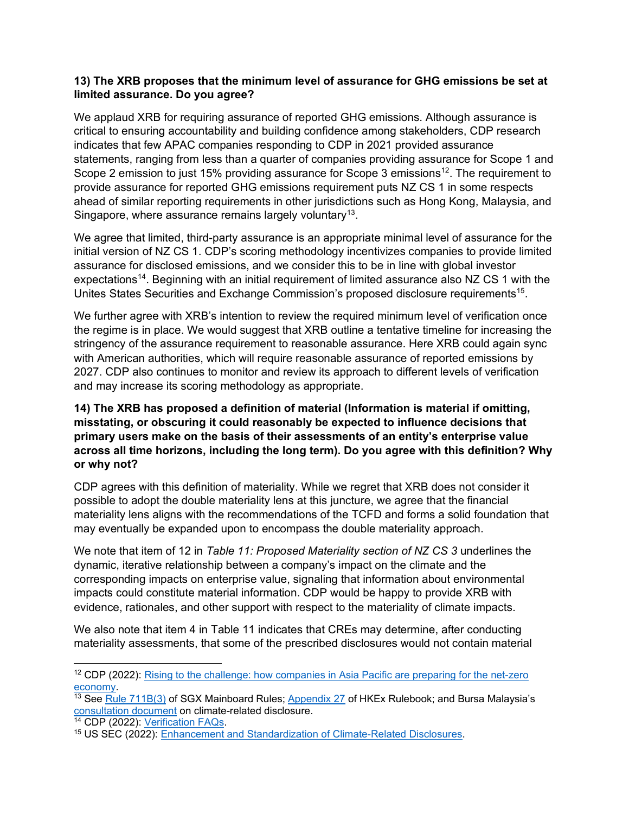#### **13) The XRB proposes that the minimum level of assurance for GHG emissions be set at limited assurance. Do you agree?**

We applaud XRB for requiring assurance of reported GHG emissions. Although assurance is critical to ensuring accountability and building confidence among stakeholders, CDP research indicates that few APAC companies responding to CDP in 2021 provided assurance statements, ranging from less than a quarter of companies providing assurance for Scope 1 and Scope 2 emission to just 15% providing assurance for Scope 3 emissions<sup>12</sup>. The requirement to provide assurance for reported GHG emissions requirement puts NZ CS 1 in some respects ahead of similar reporting requirements in other jurisdictions such as Hong Kong, Malaysia, and Singapore, where assurance remains largely voluntary<sup>13</sup>.

We agree that limited, third-party assurance is an appropriate minimal level of assurance for the initial version of NZ CS 1. CDP's scoring methodology incentivizes companies to provide limited assurance for disclosed emissions, and we consider this to be in line with global investor expectations<sup>[14](#page-6-2)</sup>. Beginning with an initial requirement of limited assurance also NZ CS 1 with the Unites States Securities and Exchange Commission's proposed disclosure requirements<sup>[15](#page-6-3)</sup>.

We further agree with XRB's intention to review the required minimum level of verification once the regime is in place. We would suggest that XRB outline a tentative timeline for increasing the stringency of the assurance requirement to reasonable assurance. Here XRB could again sync with American authorities, which will require reasonable assurance of reported emissions by 2027. CDP also continues to monitor and review its approach to different levels of verification and may increase its scoring methodology as appropriate.

#### **14) The XRB has proposed a definition of material (Information is material if omitting, misstating, or obscuring it could reasonably be expected to influence decisions that primary users make on the basis of their assessments of an entity's enterprise value across all time horizons, including the long term). Do you agree with this definition? Why or why not?**

CDP agrees with this definition of materiality. While we regret that XRB does not consider it possible to adopt the double materiality lens at this juncture, we agree that the financial materiality lens aligns with the recommendations of the TCFD and forms a solid foundation that may eventually be expanded upon to encompass the double materiality approach.

We note that item of 12 in *Table 11: Proposed Materiality section of NZ CS 3* underlines the dynamic, iterative relationship between a company's impact on the climate and the corresponding impacts on enterprise value, signaling that information about environmental impacts could constitute material information. CDP would be happy to provide XRB with evidence, rationales, and other support with respect to the materiality of climate impacts.

We also note that item 4 in Table 11 indicates that CREs may determine, after conducting materiality assessments, that some of the prescribed disclosures would not contain material

<span id="page-6-0"></span><sup>&</sup>lt;sup>12</sup> CDP (2022): Rising to the challenge: how companies in Asia Pacific are preparing for the net-zero

<span id="page-6-1"></span>[economy.](https://cdn.cdp.net/cdp-production/cms/reports/documents/000/006/179/original/How_companies_in_Asia_Pacific_are_preparing_for_the_net-zero_economy_EN.pdf?1648712180)<br><sup>13</sup> See <u>Rule [711B\(3\)](http://rulebook.sgx.com/rulebook/711b)</u> of SGX Mainboard Rules; <u>Appendix 27</u> of HKEx Rulebook; and Bursa Malaysia's [consultation document](https://www.bursamalaysia.com/sites/5bb54be15f36ca0af339077a/assets/623a9d3639fba24405b9b892/CP_SustainabilityReporting_23Mar2022__clean-final_.pdf) on climate-related disclosure.<br><sup>14</sup> CDP (2022): <u>Verification FAQs</u>.

<span id="page-6-2"></span>

<span id="page-6-3"></span><sup>&</sup>lt;sup>15</sup> US SEC (2022): [Enhancement and Standardization of Climate-Related Disclosures.](https://www.sec.gov/files/33-11042-fact-sheet.pdf)